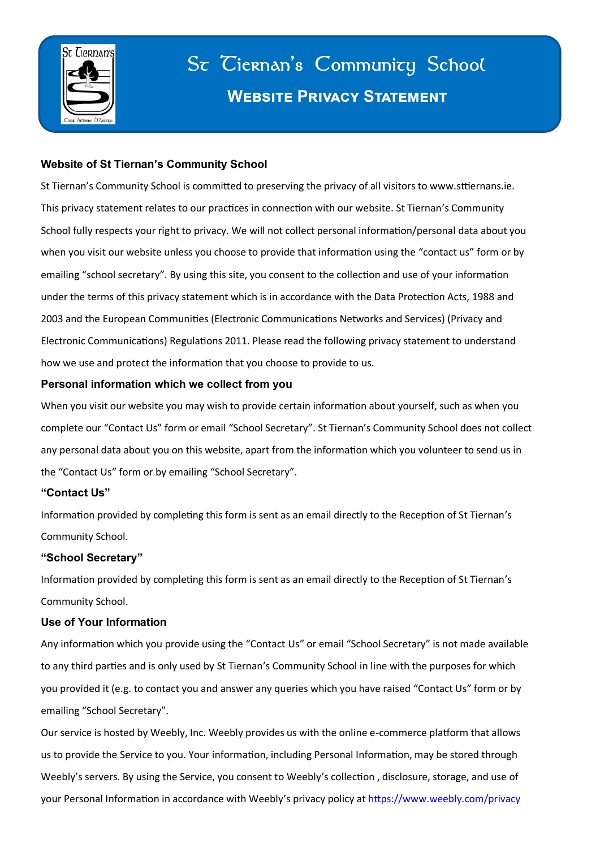

# St Tiernan's Community School **Website Privacy Statement**

# **Website of St Tiernan's Community School**

St Tiernan's Community School is committed to preserving the privacy of all visitors to www.sttiernans.ie. This privacy statement relates to our practices in connection with our website. St Tiernan's Community School fully respects your right to privacy. We will not collect personal information/personal data about you when you visit our website unless you choose to provide that information using the "contact us" form or by emailing "school secretary". By using this site, you consent to the collection and use of your information under the terms of this privacy statement which is in accordance with the Data Protection Acts, 1988 and 2003 and the European Communities (Electronic Communications Networks and Services) (Privacy and Electronic Communications) Regulations 2011. Please read the following privacy statement to understand how we use and protect the information that you choose to provide to us.

# **Personal information which we collect from you**

When you visit our website you may wish to provide certain information about yourself, such as when you complete our "Contact Us" form or email "School Secretary". St Tiernan's Community School does not collect any personal data about you on this website, apart from the information which you volunteer to send us in the "Contact Us" form or by emailing "School Secretary".

## **"Contact Us"**

Information provided by completing this form is sent as an email directly to the Reception of St Tiernan's Community School.

# **"School Secretary"**

Information provided by completing this form is sent as an email directly to the Reception of St Tiernan's Community School.

# **Use of Your Information**

Any information which you provide using the "Contact Us" or email "School Secretary" is not made available to any third parties and is only used by St Tiernan's Community School in line with the purposes for which you provided it (e.g. to contact you and answer any queries which you have raised "Contact Us" form or by emailing "School Secretary".

Our service is hosted by Weebly, Inc. Weebly provides us with the online e-commerce platform that allows us to provide the Service to you. Your information, including Personal Information, may be stored through Weebly's servers. By using the Service, you consent to Weebly's collection , disclosure, storage, and use of your Personal Information in accordance with Weebly's privacy policy at https://www.weebly.com/privacy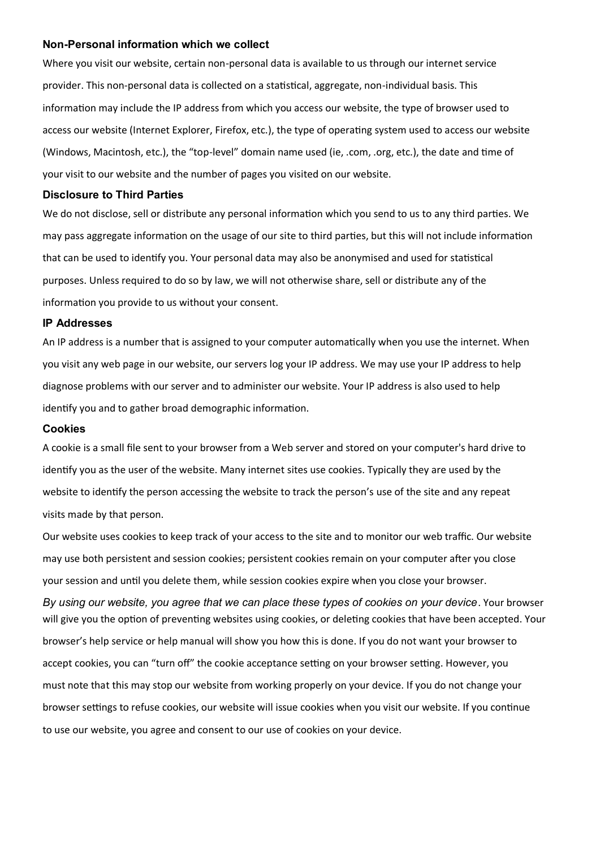#### **Non-Personal information which we collect**

Where you visit our website, certain non-personal data is available to us through our internet service provider. This non-personal data is collected on a statistical, aggregate, non-individual basis. This information may include the IP address from which you access our website, the type of browser used to access our website (Internet Explorer, Firefox, etc.), the type of operating system used to access our website (Windows, Macintosh, etc.), the "top-level" domain name used (ie, .com, .org, etc.), the date and time of your visit to our website and the number of pages you visited on our website.

### **Disclosure to Third Parties**

We do not disclose, sell or distribute any personal information which you send to us to any third parties. We may pass aggregate information on the usage of our site to third parties, but this will not include information that can be used to identify you. Your personal data may also be anonymised and used for statistical purposes. Unless required to do so by law, we will not otherwise share, sell or distribute any of the information you provide to us without your consent.

#### **IP Addresses**

An IP address is a number that is assigned to your computer automatically when you use the internet. When you visit any web page in our website, our servers log your IP address. We may use your IP address to help diagnose problems with our server and to administer our website. Your IP address is also used to help identify you and to gather broad demographic information.

#### **Cookies**

A cookie is a small file sent to your browser from a Web server and stored on your computer's hard drive to identify you as the user of the website. Many internet sites use cookies. Typically they are used by the website to identify the person accessing the website to track the person's use of the site and any repeat visits made by that person.

Our website uses cookies to keep track of your access to the site and to monitor our web traffic. Our website may use both persistent and session cookies; persistent cookies remain on your computer after you close your session and until you delete them, while session cookies expire when you close your browser. *By using our website, you agree that we can place these types of cookies on your device*. Your browser will give you the option of preventing websites using cookies, or deleting cookies that have been accepted. Your browser's help service or help manual will show you how this is done. If you do not want your browser to accept cookies, you can "turn off" the cookie acceptance setting on your browser setting. However, you must note that this may stop our website from working properly on your device. If you do not change your browser settings to refuse cookies, our website will issue cookies when you visit our website. If you continue to use our website, you agree and consent to our use of cookies on your device.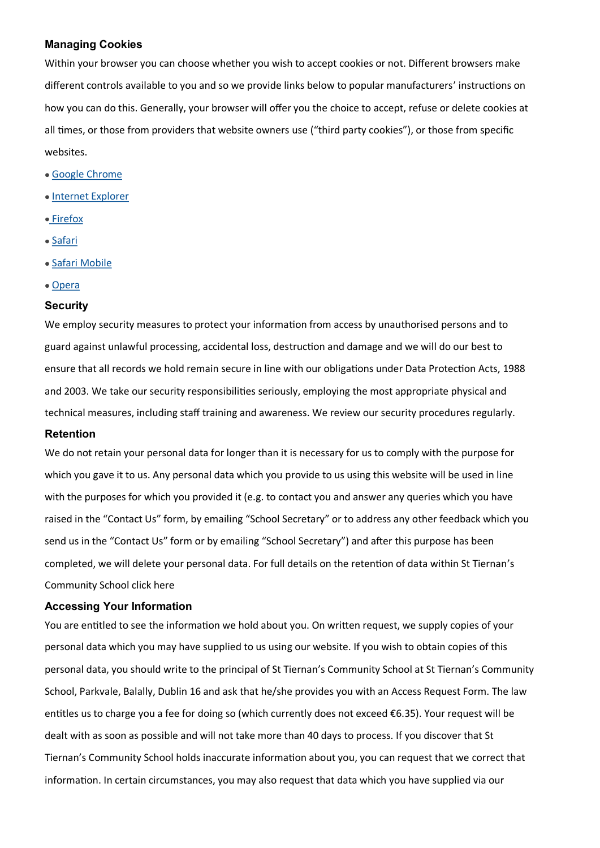## **Managing Cookies**

Within your browser you can choose whether you wish to accept cookies or not. Different browsers make different controls available to you and so we provide links below to popular manufacturers' instructions on how you can do this. Generally, your browser will offer you the choice to accept, refuse or delete cookies at all times, or those from providers that website owners use ("third party cookies"), or those from specific websites.

- [Google Chrome](https://support.google.com/chrome/answer/95647)
- [Internet Explorer](https://support.microsoft.com/en-us/windows/delete-and-manage-cookies-168dab11-0753-043d-7c16-ede5947fc64d)
- [Firefox](https://support.mozilla.org/en-US/kb/enhanced-tracking-protection-firefox-desktop?redirectslug=enable-and-disable-cookies-website-preferences&redirectlocale=en-US)
- [Safari](https://support.apple.com/en-ie/guide/safari/sfri11471/mac)
- [Safari Mobile](https://support.apple.com/en-us/HT201265)
- [Opera](https://help.opera.com/en/latest/web-preferences/)

## **Security**

We employ security measures to protect your information from access by unauthorised persons and to guard against unlawful processing, accidental loss, destruction and damage and we will do our best to ensure that all records we hold remain secure in line with our obligations under Data Protection Acts, 1988 and 2003. We take our security responsibilities seriously, employing the most appropriate physical and technical measures, including staff training and awareness. We review our security procedures regularly.

#### **Retention**

We do not retain your personal data for longer than it is necessary for us to comply with the purpose for which you gave it to us. Any personal data which you provide to us using this website will be used in line with the purposes for which you provided it (e.g. to contact you and answer any queries which you have raised in the "Contact Us" form, by emailing "School Secretary" or to address any other feedback which you send us in the "Contact Us" form or by emailing "School Secretary") and after this purpose has been completed, we will delete your personal data. For full details on the retention of data within St Tiernan's Community School click here

## **Accessing Your Information**

You are entitled to see the information we hold about you. On written request, we supply copies of your personal data which you may have supplied to us using our website. If you wish to obtain copies of this personal data, you should write to the principal of St Tiernan's Community School at St Tiernan's Community School, Parkvale, Balally, Dublin 16 and ask that he/she provides you with an Access Request Form. The law entitles us to charge you a fee for doing so (which currently does not exceed €6.35). Your request will be dealt with as soon as possible and will not take more than 40 days to process. If you discover that St Tiernan's Community School holds inaccurate information about you, you can request that we correct that information. In certain circumstances, you may also request that data which you have supplied via our